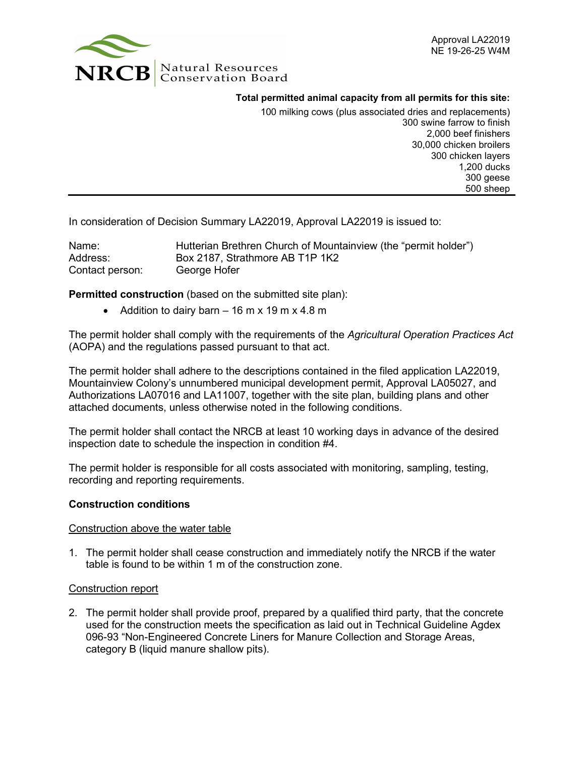

**Total permitted animal capacity from all permits for this site:**

100 milking cows (plus associated dries and replacements) 300 swine farrow to finish 2,000 beef finishers 30,000 chicken broilers 300 chicken layers 1,200 ducks 300 geese 500 sheep

In consideration of Decision Summary LA22019, Approval LA22019 is issued to:

| Name:           | Hutterian Brethren Church of Mountainview (the "permit holder") |
|-----------------|-----------------------------------------------------------------|
| Address:        | Box 2187, Strathmore AB T1P 1K2                                 |
| Contact person: | George Hofer                                                    |

**Permitted construction** (based on the submitted site plan):

• Addition to dairy barn  $-16$  m x 19 m x 4.8 m

The permit holder shall comply with the requirements of the *Agricultural Operation Practices Act* (AOPA) and the regulations passed pursuant to that act.

The permit holder shall adhere to the descriptions contained in the filed application LA22019, Mountainview Colony's unnumbered municipal development permit, Approval LA05027, and Authorizations LA07016 and LA11007, together with the site plan, building plans and other attached documents, unless otherwise noted in the following conditions.

The permit holder shall contact the NRCB at least 10 working days in advance of the desired inspection date to schedule the inspection in condition #4.

The permit holder is responsible for all costs associated with monitoring, sampling, testing, recording and reporting requirements.

#### **Construction conditions**

#### Construction above the water table

1. The permit holder shall cease construction and immediately notify the NRCB if the water table is found to be within 1 m of the construction zone.

#### Construction report

2. The permit holder shall provide proof, prepared by a qualified third party, that the concrete used for the construction meets the specification as laid out in Technical Guideline Agdex 096-93 "Non-Engineered Concrete Liners for Manure Collection and Storage Areas, category B (liquid manure shallow pits).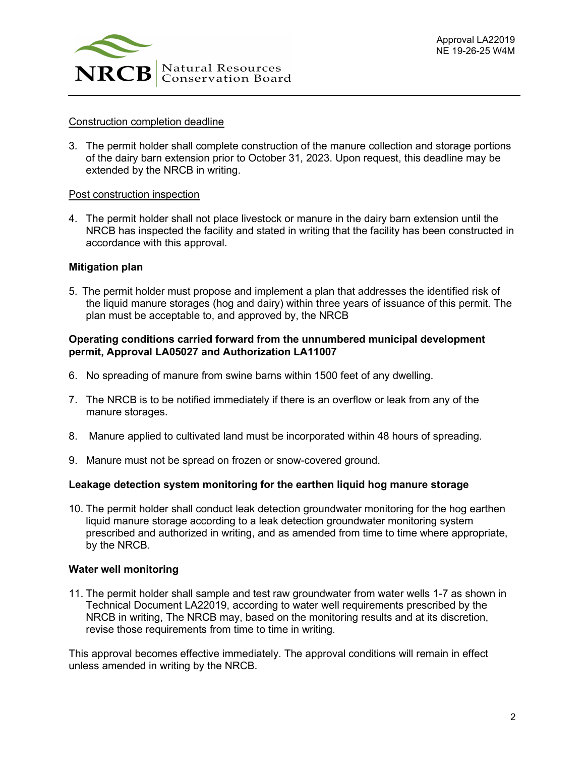

### Construction completion deadline

3. The permit holder shall complete construction of the manure collection and storage portions of the dairy barn extension prior to October 31, 2023. Upon request, this deadline may be extended by the NRCB in writing.

### Post construction inspection

4. The permit holder shall not place livestock or manure in the dairy barn extension until the NRCB has inspected the facility and stated in writing that the facility has been constructed in accordance with this approval.

### **Mitigation plan**

5. The permit holder must propose and implement a plan that addresses the identified risk of the liquid manure storages (hog and dairy) within three years of issuance of this permit. The plan must be acceptable to, and approved by, the NRCB

#### **Operating conditions carried forward from the unnumbered municipal development permit, Approval LA05027 and Authorization LA11007**

- 6. No spreading of manure from swine barns within 1500 feet of any dwelling.
- 7. The NRCB is to be notified immediately if there is an overflow or leak from any of the manure storages.
- 8. Manure applied to cultivated land must be incorporated within 48 hours of spreading.
- 9. Manure must not be spread on frozen or snow-covered ground.

# **Leakage detection system monitoring for the earthen liquid hog manure storage**

10. The permit holder shall conduct leak detection groundwater monitoring for the hog earthen liquid manure storage according to a leak detection groundwater monitoring system prescribed and authorized in writing, and as amended from time to time where appropriate, by the NRCB.

#### **Water well monitoring**

11. The permit holder shall sample and test raw groundwater from water wells 1-7 as shown in Technical Document LA22019, according to water well requirements prescribed by the NRCB in writing, The NRCB may, based on the monitoring results and at its discretion, revise those requirements from time to time in writing.

This approval becomes effective immediately. The approval conditions will remain in effect unless amended in writing by the NRCB.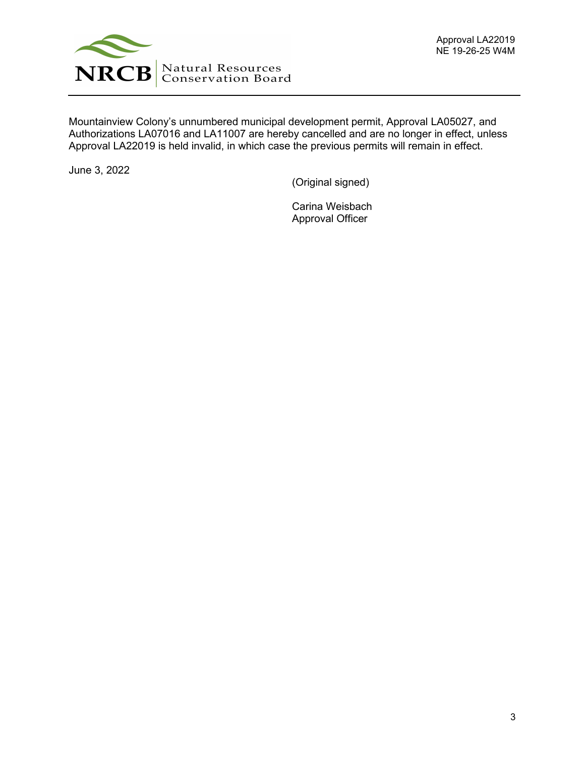

Mountainview Colony's unnumbered municipal development permit, Approval LA05027, and Authorizations LA07016 and LA11007 are hereby cancelled and are no longer in effect, unless Approval LA22019 is held invalid, in which case the previous permits will remain in effect.

June 3, 2022

(Original signed)

Carina Weisbach Approval Officer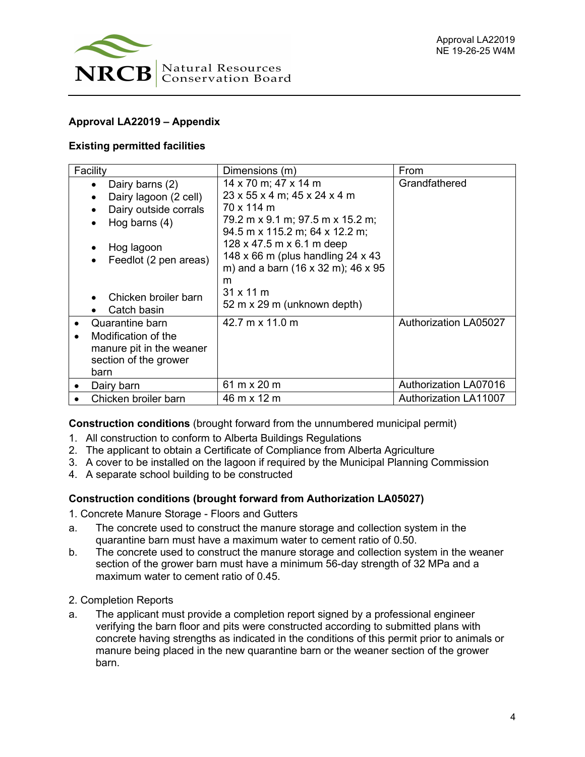

# **Approval LA22019 – Appendix**

# **Existing permitted facilities**

| Facility                                                                                                                                                           | Dimensions (m)                                                                                                                                                                                                                                                                                                    | From                         |
|--------------------------------------------------------------------------------------------------------------------------------------------------------------------|-------------------------------------------------------------------------------------------------------------------------------------------------------------------------------------------------------------------------------------------------------------------------------------------------------------------|------------------------------|
| Dairy barns (2)<br>Dairy lagoon (2 cell)<br>Dairy outside corrals<br>Hog barns $(4)$<br>Hog lagoon<br>Feedlot (2 pen areas)<br>Chicken broiler barn<br>Catch basin | 14 x 70 m; 47 x 14 m<br>23 x 55 x 4 m; 45 x 24 x 4 m<br>70 x 114 m<br>79.2 m x 9.1 m; 97.5 m x 15.2 m;<br>94.5 m x 115.2 m; 64 x 12.2 m;<br>128 x 47.5 m x 6.1 m deep<br>148 x 66 m (plus handling 24 x 43)<br>m) and a barn (16 x 32 m); 46 x 95<br>m<br>$31 \times 11 \text{ m}$<br>52 m x 29 m (unknown depth) | Grandfathered                |
| Quarantine barn<br>Modification of the<br>manure pit in the weaner<br>section of the grower<br>barn                                                                | 42.7 m x 11.0 m                                                                                                                                                                                                                                                                                                   | <b>Authorization LA05027</b> |
| Dairy barn                                                                                                                                                         | 61 m x 20 m                                                                                                                                                                                                                                                                                                       | <b>Authorization LA07016</b> |
| Chicken broiler barn                                                                                                                                               | 46 m x 12 m                                                                                                                                                                                                                                                                                                       | <b>Authorization LA11007</b> |

**Construction conditions** (brought forward from the unnumbered municipal permit)

- 1. All construction to conform to Alberta Buildings Regulations
- 2. The applicant to obtain a Certificate of Compliance from Alberta Agriculture
- 3. A cover to be installed on the lagoon if required by the Municipal Planning Commission
- 4. A separate school building to be constructed

# **Construction conditions (brought forward from Authorization LA05027)**

- 1. Concrete Manure Storage Floors and Gutters
- a. The concrete used to construct the manure storage and collection system in the quarantine barn must have a maximum water to cement ratio of 0.50.
- b. The concrete used to construct the manure storage and collection system in the weaner section of the grower barn must have a minimum 56-day strength of 32 MPa and a maximum water to cement ratio of 0.45.
- 2. Completion Reports
- a. The applicant must provide a completion report signed by a professional engineer verifying the barn floor and pits were constructed according to submitted plans with concrete having strengths as indicated in the conditions of this permit prior to animals or manure being placed in the new quarantine barn or the weaner section of the grower barn.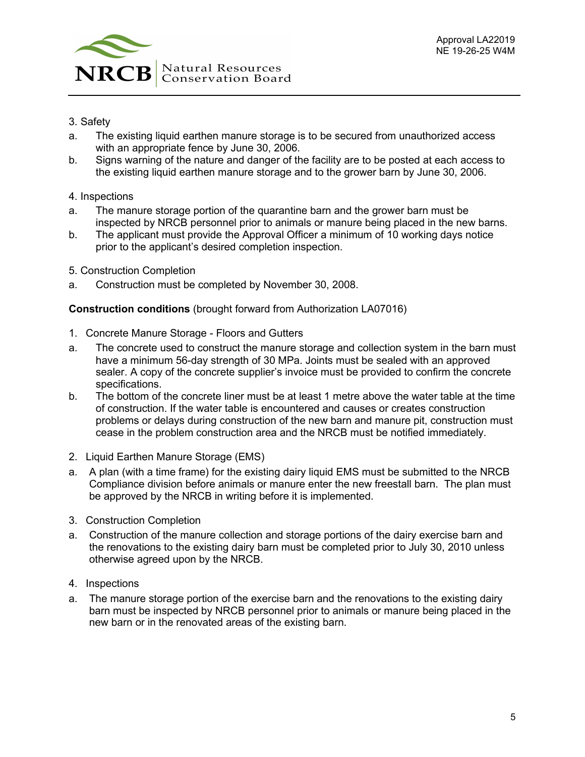

- 3. Safety
- a. The existing liquid earthen manure storage is to be secured from unauthorized access with an appropriate fence by June 30, 2006.
- b. Signs warning of the nature and danger of the facility are to be posted at each access to the existing liquid earthen manure storage and to the grower barn by June 30, 2006.
- 4. Inspections
- a. The manure storage portion of the quarantine barn and the grower barn must be inspected by NRCB personnel prior to animals or manure being placed in the new barns.
- b. The applicant must provide the Approval Officer a minimum of 10 working days notice prior to the applicant's desired completion inspection.
- 5. Construction Completion
- a. Construction must be completed by November 30, 2008.

# **Construction conditions** (brought forward from Authorization LA07016)

- 1. Concrete Manure Storage Floors and Gutters
- a. The concrete used to construct the manure storage and collection system in the barn must have a minimum 56-day strength of 30 MPa. Joints must be sealed with an approved sealer. A copy of the concrete supplier's invoice must be provided to confirm the concrete specifications.
- b. The bottom of the concrete liner must be at least 1 metre above the water table at the time of construction. If the water table is encountered and causes or creates construction problems or delays during construction of the new barn and manure pit, construction must cease in the problem construction area and the NRCB must be notified immediately.
- 2. Liquid Earthen Manure Storage (EMS)
- a. A plan (with a time frame) for the existing dairy liquid EMS must be submitted to the NRCB Compliance division before animals or manure enter the new freestall barn. The plan must be approved by the NRCB in writing before it is implemented.
- 3. Construction Completion
- a. Construction of the manure collection and storage portions of the dairy exercise barn and the renovations to the existing dairy barn must be completed prior to July 30, 2010 unless otherwise agreed upon by the NRCB.
- 4. Inspections
- a. The manure storage portion of the exercise barn and the renovations to the existing dairy barn must be inspected by NRCB personnel prior to animals or manure being placed in the new barn or in the renovated areas of the existing barn.